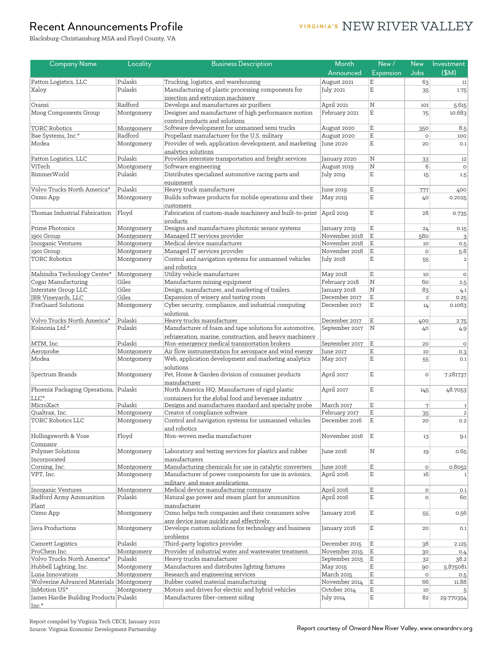#### VIRGINIA'S NEW RIVER VALLEY

Blacksburg-Christiansburg MSA and Floyd County, VA

| <b>Company Name</b>                     | Locality              | <b>Business Description</b>                                        | Month             | New/                                   | <b>New</b>     | Investment     |
|-----------------------------------------|-----------------------|--------------------------------------------------------------------|-------------------|----------------------------------------|----------------|----------------|
|                                         |                       |                                                                    | Announced         | Expansion                              | <b>Jobs</b>    | \$M)           |
| Patton Logistics, LLC                   | Pulaski               | Trucking, logistics, and warehousing                               | August 2021       | E                                      | 63             | 11             |
| Xaloy                                   | Pulaski               | Manufacturing of plastic processing components for                 | July 2021         | $\mathbf E$                            | 35             | 1.75           |
|                                         |                       | injection and extrusion machinery                                  |                   |                                        |                |                |
| Oransi                                  | Radford               | Develops and manufactures air purifiers                            | April 2021        | $\mathbf N$                            | 101            | 5.615          |
| Moog Components Group                   | Montgomery            | Designer and manufacturer of high performance motion               | February 2021     | $\mathbf E$                            | 75             | 10.683         |
|                                         |                       | control products and solutions                                     |                   |                                        |                |                |
| <b>TORC Robotics</b>                    | Montgomery            | Software development for unmanned semi trucks                      | August 2020       | $\mathbf E$                            | 350            | 8.5            |
| Bae Systems, Inc.*                      | Radford               | Propellant manufacturer for the U.S. military                      | August 2020       | $\mathbf E$                            | $\circ$        | 100            |
| Modea                                   | Montgomery            | Provider of web, application development, and marketing            | June 2020         | $\mathbf E$                            | 20             | 0.1            |
|                                         |                       | analytics solutions                                                |                   |                                        |                |                |
| Patton Logistics, LLC                   | Pulaski               | Provides interstate transportation and freight services            | January 2020      | N                                      | 33             | 12             |
| ViTech<br><b>BimmerWorld</b>            | Montgomery<br>Pulaski | Software engineering                                               | August 2019       | $\overline{\mathrm{N}}$<br>$\mathbf E$ | 6              | $\circ$        |
|                                         |                       | Distributes specialized automotive racing parts and<br>equipment   | July 2019         |                                        | 15             | 1.5            |
| Volvo Trucks North America*             | Pulaski               | Heavy truck manufacturer                                           | June 2019         | $\mathbf E$                            | 777            | 400            |
| Ozmo App                                | Montgomery            | Builds software products for mobile operations and their           | May 2019          | $\mathbf E$                            | 40             | 0.2025         |
|                                         |                       | customers                                                          |                   |                                        |                |                |
| Thomas Industrial Fabrication           | Floyd                 | Fabrication of custom-made machinery and built-to-print April 2019 |                   | $\mathbf E$                            | 28             | 0.735          |
|                                         |                       | products                                                           |                   |                                        |                |                |
| Prime Photonics                         | Montgomery            | Designs and manufactures photonic sensor systems                   | January 2019      | $\mathbf E$                            | 24             | 0.15           |
| 1901 Group                              | Montgomery            | Managed IT services provider                                       | November 2018     | $\mathbf E$                            | 580            |                |
| Inorganic Ventures                      | Montgomery            | Medical device manufacturer                                        | November 2018     | $\mathbf E$                            | 10             | 0.5            |
| 1901 Group                              | Montgomery            | Managed IT services provider                                       | November 2018     | E                                      | $\circ$        | 5.8            |
| <b>TORC Robotics</b>                    | Montgomery            | Control and navigation systems for unmanned vehicles               | July 2018         | $\mathbf E$                            | 55             | $\overline{2}$ |
|                                         |                       | and robotics                                                       |                   |                                        |                |                |
| Mahindra Technology Center*             | Montgomery            | Utility vehicle manufacturer                                       | May 2018          | $\mathbf E$                            | 10             | $\circ$        |
| Cogar Manufacturing                     | Giles                 | Manufactures mining equipment                                      | February 2018     | $\overline{\mathrm{N}}$                | 60             | 2.5            |
| Interstate Group LLC                    | Giles                 | Design, manufacturer, and marketing of trailers.                   | January 2018      | $\mathbf N$                            | 83             | 4.1            |
| JBR Vineyards, LLC                      | Giles                 | Expansion of winery and tasting room                               | December 2017     | $\mathbf E$                            | $\overline{2}$ | 0.25           |
| FoxGuard Solutions                      | Montgomery            | Cyber security, compliance, and industrial computing               | December 2017     | E                                      | 14             | 0.1063         |
|                                         |                       | solutions.                                                         |                   |                                        |                |                |
| Volvo Trucks North America*             | Pulaski               | Heavy trucks manufacturer                                          | December 2017     | E                                      | 400            | 2.75           |
| Koinonia Ltd.*                          | Pulaski               | Manufacturer of foam and tape solutions for automotive,            | September 2017    | N                                      | 40             | 4.9            |
|                                         |                       | refrigeration, marine, construction, and heavy machinery           |                   |                                        |                |                |
| MTM, Inc.                               | Pulaski               | Non-emergency medical transportation brokers                       | September 2017    | İΕ                                     | 20             | $\circ$        |
| Aeroprobe                               | Montgomery            | Air flow instrumentation for aerospace and wind energy             | June 2017         | $\mathbf E$                            | 10             | 0.3            |
| Modea                                   | Montgomery            | Web, application development and marketing analytics               | May 2017          | $\mathbf E$                            | 55             | 0.1            |
|                                         |                       | solutions                                                          |                   |                                        |                |                |
| Spectrum Brands                         | Montgomery            | Pet, Home & Garden division of consumer products                   | April 2017        | $\mathbf E$                            | $\circ$        | 7.281737       |
|                                         |                       | manufacturer                                                       |                   |                                        |                |                |
| Phoenix Packaging Operations, Pulaski   |                       | North America HQ; Manufacturer of rigid plastic                    | April 2017        | $\mathbf E$                            | 145            | 48.7053        |
| LLC*                                    |                       | containers for the global food and beverage industry               |                   |                                        |                |                |
| MicroXact                               | Pulaski               | Designs and manufactures standard and specialty probe              | <b>March 2017</b> | $\mathbf E$                            | $\overline{7}$ | $\vert$ 1      |
| Qualtrax, Inc.                          | Montgomery            | Creator of compliance software                                     | February 2017     | $\mathbf E$                            | 35             |                |
| <b>TORC Robotics LLC</b>                | Montgomery            | Control and navigation systems for unmanned vehicles               | December 2016     | E                                      | 20             | 0.2            |
|                                         |                       | and robotics                                                       |                   |                                        |                |                |
| Hollingsworth & Vose                    | Floyd                 | Non-woven media manufacturer                                       | November 2016     | ΙE                                     | 13             | 9.1            |
| Company                                 |                       |                                                                    |                   |                                        |                |                |
| Polymer Solutions                       | Montgomery            | Laboratory and testing services for plastics and rubber            | June 2016         | Ν                                      | 19             | 0.65           |
| Incorporated                            |                       | manufacturers                                                      |                   |                                        |                |                |
| Corning, Inc.                           | Montgomery            | Manufacturing chemicals for use in catalytic converters            | June 2016         | $\mathbf E$                            | $\circ$        | 0.8052         |
| VPT, Inc.                               | Montgomery            | Manufacturer of power components for use in avionics,              | April 2016        | $\mathbf E$                            | 16             |                |
|                                         |                       | military, and space applications.                                  |                   |                                        |                |                |
| Inorganic Ventures                      | Montgomery            | Medical device manufacturing company                               | April 2016        | $\mathbf E$                            | $\circ$        | 0.1            |
| Radford Army Ammunition                 | Pulaski               | Natural gas power and steam plant for ammunition                   | April 2016        | $\mathbf E$                            | $\circ$        | 60             |
| Plant                                   |                       | manufacturer                                                       |                   |                                        |                |                |
| Ozmo App                                | Montgomery            | Ozmo helps tech companies and their consumers solve                | January 2016      | $\mathbf E$                            | 55             | 0.56           |
|                                         |                       | any device issue quickly and effectively.                          |                   |                                        |                |                |
| Java Productions                        | Montgomery            | Develops custom solutions for technology and business              | January 2016      | $\mathbf E$                            | 20             | 0.1            |
|                                         |                       | problems                                                           |                   |                                        |                |                |
| Camrett Logistics                       | Pulaski               | Third-party logistics provider                                     | December 2015     | E                                      | 38             | 2.125          |
| ProChem Inc.                            | Montgomery            | Provider of industrial water and wastewater treatment.             | November 2015     | ΙE                                     | 30             | 0.4            |
| Volvo Trucks North America*             | Pulaski               | Heavy trucks manufacturer                                          | September 2015    | İΕ                                     | 32             | 38.2           |
| Hubbell Lighting, Inc.                  | Montgomery            | Manufactures and distributes lighting fixtures                     | May 2015          | $\mathbf E$                            | 90             | 5.875081       |
| Luna Innovations                        | Montgomery            | Research and engineering services                                  | March 2015        | $\mathbf E$                            | $\circ$        | 0.5            |
| Wolverine Advanced Materials Montgomery |                       | Rubber coated material manufacturing                               | November 2014     | E                                      | 66             | 11.88          |
| InMotion US*                            | Montgomery            | Motors and drives for electric and hybrid vehicles                 | October 2014      | $\mathbf E$                            | 10             | 5 <sup>1</sup> |
| James Hardie Building Products Pulaski  |                       | Manufactures fiber-cement siding                                   | July 2014         | E                                      | 82             | 29.770354      |
| Inc.*                                   |                       |                                                                    |                   |                                        |                |                |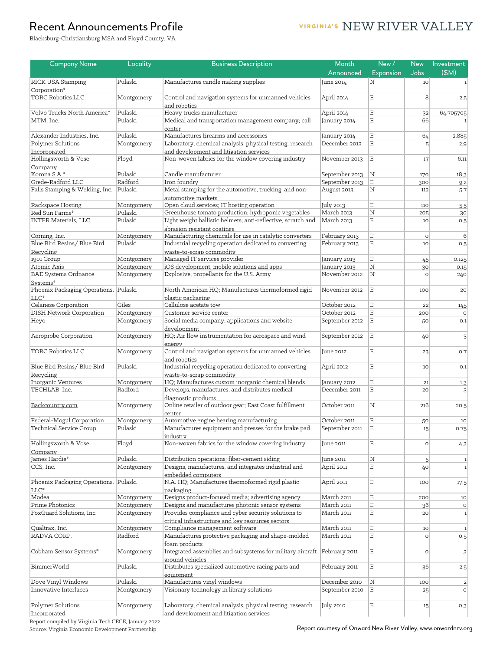### VIRGINIA'S NEW RIVER VALLEY

Blacksburg-Christiansburg MSA and Floyd County, VA

| <b>Company Name</b>                          | Locality              | <b>Business Description</b>                                                                          | Month                   | New/                    | <b>New</b>    | Investment     |
|----------------------------------------------|-----------------------|------------------------------------------------------------------------------------------------------|-------------------------|-------------------------|---------------|----------------|
|                                              |                       |                                                                                                      | Announced               | Expansion               | Jobs          | (M)            |
| RICK USA Stamping                            | Pulaski               | Manufactures candle making supplies                                                                  | June 2014               | N                       | 10            | $\mathbf{1}$   |
| Corporation*                                 |                       |                                                                                                      |                         |                         |               |                |
| <b>TORC Robotics LLC</b>                     | Montgomery            | Control and navigation systems for unmanned vehicles                                                 | April 2014              | $\mathbf E$             | 8             | 2.5            |
|                                              |                       | and robotics                                                                                         |                         |                         |               |                |
| Volvo Trucks North America*                  | Pulaski               | Heavy trucks manufacturer                                                                            | April 2014              | $\mathbf E$             | 32            | 64.705705      |
| MTM, Inc.                                    | Pulaski               | Medical and transportation management company; call                                                  | January 2014            | $\mathbf E$             | 66            |                |
| Alexander Industries, Inc.                   | Pulaski               | center<br>Manufactures firearms and accessories                                                      | January 2014            | $\mathbf E$             | 64            | 2.885          |
| Polymer Solutions                            | Montgomery            | Laboratory, chemical analysis, physical testing, research                                            | December 2013           | $\mathbf E$             | 5             | 2.9            |
| Incorporated                                 |                       | and development and litigation services                                                              |                         |                         |               |                |
| Hollingsworth & Vose                         | Floyd                 | Non-woven fabrics for the window covering industry                                                   | November 2013           | $\mathbf E$             | 17            | 6.11           |
| Company                                      |                       |                                                                                                      |                         |                         |               |                |
| Korona S.A.*                                 | Pulaski               | Candle manufacturer                                                                                  | September 2013          | $\overline{\mathrm{N}}$ | 170           | 18.3           |
| Grede-Radford LLC                            | Radford               | Iron foundry                                                                                         | September 2013          | $\mathbf E$             | 300           | 9.2            |
| Falls Stamping & Welding, Inc.               | Pulaski               | Metal stamping for the automotive, trucking, and non-                                                | August 2013             | Ν                       | 112           | 5.7            |
|                                              |                       | automotive markets                                                                                   |                         |                         |               |                |
| Rackspace Hosting                            | Montgomery            | Open cloud services; IT hosting operation                                                            | July 2013               | $\mathbf E$             | 110           | $5.5\,$        |
| Red Sun Farms*                               | Pulaski               | Greenhouse tomato production; hydroponic vegetables                                                  | March 2013              | $\mathbf N$             | 205           | 30             |
| <b>INTER Materials, LLC</b>                  | Pulaski               | Light weight ballistic helmets; anti-reflective, scratch and                                         | March 2013              | $\mathbf E$             | 10            | 0.5            |
|                                              |                       | abrasion resistant coatings<br>Manufacturing chemicals for use in catalytic converters               | February 2013           | $\mathbf E$             |               | 6              |
| Corning, Inc.<br>Blue Bird Resins/ Blue Bird | Montgomery<br>Pulaski | Industrial recycling operation dedicated to converting                                               | February 2013           | $\mathbf E$             | $\circ$<br>10 | 0.5            |
| Recycling                                    |                       | waste-to-scrap commodity                                                                             |                         |                         |               |                |
| 1901 Group                                   | Montgomery            | Managed IT services provider                                                                         | January 2013            | $\mathbf E$             | 45            | 0.125          |
| Atomic Axis                                  | Montgomery            | iOS development, mobile solutions and apps                                                           | January 2013            | N                       | 30            | 0.15           |
| <b>BAE Systems Ordnance</b>                  | Montgomery            | Explosive, propellants for the U.S. Army                                                             | November 2012           | N                       | $\Omega$      | 240            |
| Systems*                                     |                       |                                                                                                      |                         |                         |               |                |
| Phoenix Packaging Operations, Pulaski        |                       | North American HQ; Manufactures thermoformed rigid                                                   | November 2012           | E                       | 100           | 20             |
| LLC*                                         |                       | plastic packaging                                                                                    |                         |                         |               |                |
| Celanese Corporation                         | Giles                 | Cellulose acetate tow                                                                                | October 2012            | $\mathbf E$             | 22            | 145            |
| <b>DISH Network Corporation</b>              | Montgomery            | Customer service center                                                                              | October 2012            | $\mathbf E$             | 200           | $\circ$        |
| Heyo                                         | Montgomery            | Social media company; applications and website                                                       | September 2012          | $\mathbf E$             | 50            | 0.1            |
|                                              |                       | development                                                                                          |                         |                         |               |                |
| Aeroprobe Corporation                        | Montgomery            | HQ; Air flow instrumentation for aerospace and wind                                                  | September 2012          | Ε                       | 40            | $\overline{3}$ |
|                                              |                       | energy                                                                                               |                         |                         |               |                |
| TORC Robotics LLC                            | Montgomery            | Control and navigation systems for unmanned vehicles                                                 | June 2012               | E                       | 23            | 0.7            |
| Blue Bird Resins/ Blue Bird                  | Pulaski               | and robotics<br>Industrial recycling operation dedicated to converting                               | April 2012              | E                       | 10            | 0.1            |
| Recycling                                    |                       | waste-to-scrap commodity                                                                             |                         |                         |               |                |
| Inorganic Ventures                           | Montgomery            | HQ; Manufactures custom inorganic chemical blends                                                    | January 2012            | $\mathbf E$             | 21            | 1.3            |
| TECHLAB, Inc.                                | Radford               | Develops, manufactures, and distributes medical                                                      | December 2011           | $\mathbf E$             | 20            | 3              |
|                                              |                       | diagnostic products                                                                                  |                         |                         |               |                |
| Backcountry.com                              | Montgomery            | Online retailer of outdoor gear; East Coast fulfillment                                              | October 2011            | N                       | 216           | 20.5           |
|                                              |                       | center                                                                                               |                         |                         |               |                |
| Federal-Mogul Corporation                    | Montgomery            | Automotive engine bearing manufacturing                                                              | October 2011            | $\mathbf E$             | 50            | 10             |
| Technical Service Group                      | Pulaski               | Manufactures equipment and presses for the brake pad                                                 | September 2011          | $\mathbf E$             | 15            | 0.75           |
|                                              |                       | industry                                                                                             |                         |                         |               |                |
| Hollingsworth & Vose                         | Floyd                 | Non-woven fabrics for the window covering industry                                                   | June 2011               | $\mathbf E$             | $\circ$       | 4.3            |
| Company                                      |                       |                                                                                                      |                         |                         |               |                |
| James Hardie*<br>CCS, Inc.                   | Pulaski               | Distribution operations; fiber-cement siding<br>Designs, manufactures, and integrates industrial and | June 2011<br>April 2011 | $\rm N$<br>$\mathbf E$  | 5             | $\mathbf{1}$   |
|                                              | Montgomery            | embedded computers                                                                                   |                         |                         | 40            | $\mathbf{1}$   |
| Phoenix Packaging Operations, Pulaski        |                       | N.A. HQ; Manufactures thermoformed rigid plastic                                                     | April 2011              | $\mathbf E$             | 100           | 17.5           |
| LLC*                                         |                       | packaging                                                                                            |                         |                         |               |                |
| Modea                                        | Montgomery            | Designs product-focused media; advertising agency                                                    | <b>March 2011</b>       | $\mathbf E$             | 200           | 10             |
| Prime Photonics                              | Montgomery            | Designs and manufactures photonic sensor systems                                                     | March 2011              | $\mathbf E$             | 36            | $\circ$        |
| FoxGuard Solutions, Inc.                     | Montgomery            | Provides compliance and cyber security solutions to                                                  | <b>March 2011</b>       | $\mathbf E$             | 20            | $\mathbf{1}$   |
|                                              |                       | critical infrastructure and key resources sectors                                                    |                         |                         |               |                |
| Qualtrax, Inc.                               | Montgomery            | Compliance management software                                                                       | March 2011              | $\mathbf E$             | 10            | $\vert$ 1      |
| RADVA CORP.                                  | Radford               | Manufactures protective packaging and shape-molded                                                   | <b>March 2011</b>       | $\mathbf E$             | $\circ$       | 0.5            |
|                                              |                       | foam products                                                                                        |                         |                         |               |                |
| Cobham Sensor Systems*                       | Montgomery            | Integrated assemblies and subsystems for military aircraft February 2011                             |                         | $\mathbf E$             | $\circ$       | $\overline{3}$ |
|                                              |                       | ground vehicles                                                                                      |                         |                         |               |                |
| BimmerWorld                                  | Pulaski               | Distributes specialized automotive racing parts and                                                  | February 2011           | $\mathbf E$             | 36            | 2.5            |
|                                              |                       | equipment                                                                                            |                         |                         |               |                |
| Dove Vinyl Windows<br>Innovative Interfaces  | Pulaski               | Manufactures vinyl windows                                                                           | December 2010           | $\rm N$                 | 100           | $\overline{2}$ |
|                                              | Montgomery            | Visionary technology in library solutions                                                            | September 2010          | $\mathbf E$             | 25            | $\circ$        |
| Polymer Solutions                            | Montgomery            | Laboratory, chemical analysis, physical testing, research                                            | July 2010               | $\mathbf E$             | 15            | 0.3            |
| Incorporated                                 |                       | and development and litigation services                                                              |                         |                         |               |                |
|                                              |                       |                                                                                                      |                         |                         |               |                |

Report compiled by Virginia Tech CECE, January 2022

Source: Virginia Economic Development Partnership Report Courtesy of Onward New River Valley, www.onwardnrv.org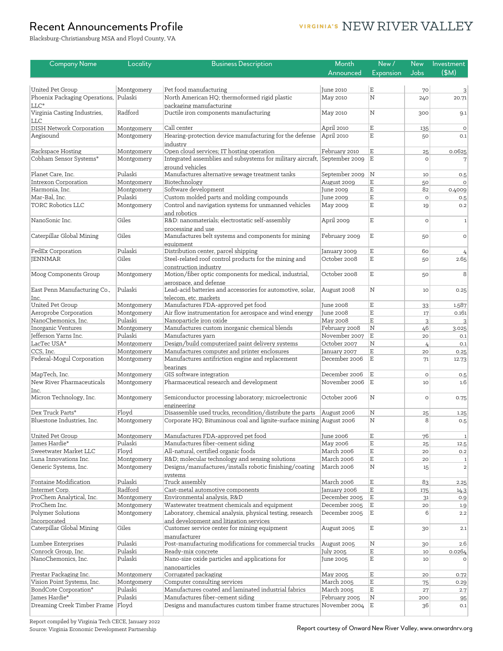#### VIRGINIA'S NEW RIVER VALLEY

Blacksburg-Christiansburg MSA and Floyd County, VA

| <b>Company Name</b>                                 | Locality                 | <b>Business Description</b>                                                                               | Month                           | New/                       | <b>New</b>    | Investment                  |
|-----------------------------------------------------|--------------------------|-----------------------------------------------------------------------------------------------------------|---------------------------------|----------------------------|---------------|-----------------------------|
|                                                     |                          |                                                                                                           | Announced                       | <b>Expansion</b>           | Jobs          | (SM)                        |
|                                                     |                          |                                                                                                           |                                 |                            |               |                             |
| United Pet Group                                    | Montgomery               | Pet food manufacturing                                                                                    | June 2010                       | $\mathbf E$                | 70            | $\overline{3}$              |
| Phoenix Packaging Operations,                       | Pulaski                  | North American HQ; thermoformed rigid plastic                                                             | May 2010                        | $\mathbf N$                | 240           | 20.71                       |
| LLC*                                                |                          | packaging manufacturing                                                                                   |                                 |                            |               |                             |
| Virginia Casting Industries,                        | Radford                  | Ductile iron components manufacturing                                                                     | May 2010                        | Ν                          | 300           | 9.1                         |
| <b>LLC</b><br><b>DISH Network Corporation</b>       | Montgomery               | Call center                                                                                               | April 2010                      | $\mathbf E$                |               | $\circ$                     |
| Aegisound                                           | Montgomery               | Hearing-protection device manufacturing for the defense                                                   | April 2010                      | $\mathbf E$                | 135<br>50     | 0.1                         |
|                                                     |                          | industry                                                                                                  |                                 |                            |               |                             |
| Rackspace Hosting                                   | Montgomery               | Open cloud services; IT hosting operation                                                                 | February 2010                   | $\mathbf E$                | 25            | 0.0625                      |
| Cobham Sensor Systems*                              | Montgomery               | Integrated assemblies and subsystems for military aircraft, September 2009                                |                                 | ΙE.                        | $\circ$       |                             |
|                                                     |                          | ground vehicles                                                                                           |                                 |                            |               |                             |
| Planet Care, Inc.                                   | Pulaski                  | Manufactures alternative sewage treatment tanks                                                           | September 2009                  | $\vert N \vert$            | 10            | 0.5                         |
| <b>Intrexon Corporation</b>                         | Montgomery               | Biotechnology                                                                                             | August 2009                     | $\mathbf E$                | 50            | $\Omega$                    |
| Harmonia, Inc.                                      | Montgomery               | Software development                                                                                      | June 2009                       | $\mathbf E$                | 82            | 0.4009                      |
| Mar-Bal, Inc.                                       | Pulaski                  | Custom molded parts and molding compounds                                                                 | June 2009                       | $\mathbf E$                | $\circ$       | 0.5                         |
| <b>TORC Robotics LLC</b>                            | Montgomery               | Control and navigation systems for unmanned vehicles                                                      | May 2009                        | $\mathbf E$                | 19            | 0.2                         |
|                                                     |                          | and robotics                                                                                              |                                 |                            |               |                             |
| NanoSonic Inc.                                      | Giles                    | R&D: nanomaterials; electrostatic self-assembly                                                           | April 2009                      | $\mathbf E$                | $\circ$       | $\mathbf{1}$                |
| Caterpillar Global Mining                           | Giles                    | processing and use                                                                                        |                                 | $\mathbf E$                |               |                             |
|                                                     |                          | Manufactures belt systems and components for mining                                                       | February 2009                   |                            | 50            | $\circ$                     |
| FedEx Corporation                                   | Pulaski                  | equipment<br>Distribution center, parcel shipping                                                         | January 2009                    | $\mathbf E$                | 60            |                             |
| <b>JENNMAR</b>                                      | Giles                    | Steel-related roof control products for the mining and                                                    | October 2008                    | $\mathbf E$                | 50            | 2.65                        |
|                                                     |                          | construction industry                                                                                     |                                 |                            |               |                             |
| Moog Components Group                               | Montgomery               | Motion/fiber optic components for medical, industrial,                                                    | October 2008                    | $\mathbf E$                | 50            | 8                           |
|                                                     |                          | aerospace, and defense                                                                                    |                                 |                            |               |                             |
| East Penn Manufacturing Co.,                        | Pulaski                  | Lead-acid batteries and accessories for automotive, solar,                                                | August 2008                     | $\rm N$                    | 10            | 0.25                        |
| Inc.                                                |                          | telecom, etc. markets                                                                                     |                                 |                            |               |                             |
| <b>United Pet Group</b>                             | Montgomery               | Manufactures FDA-approved pet food                                                                        | June 2008                       | $\mathbf E$                | 33            | 1.587                       |
| Aeroprobe Corporation                               | Montgomery               | Air flow instrumentation for aerospace and wind energy                                                    | June 2008                       | $\mathbf E$                | 17            | 0.161                       |
| NanoChemonics, Inc.                                 | Pulaski                  | Nanoparticle iron oxide                                                                                   | May 2008                        | $\mathbf E$                | 3             | $\overline{3}$              |
| Inorganic Ventures                                  | Montgomery               | Manufactures custom inorganic chemical blends                                                             | February 2008                   | N                          | 46            | 3.025                       |
| Jefferson Yarns Inc.                                | Pulaski                  | Manufactures yarn                                                                                         | November 2007                   | E                          | 20            | 0.1                         |
| LacTec USA*<br>CCS, Inc.                            | Montgomery               | Design/build computerized paint delivery systems<br>Manufactures computer and printer enclosures          | October 2007                    | $\mathbf N$<br>$\mathbf E$ | $\frac{1}{4}$ | 0.1                         |
| Federal-Mogul Corporation                           | Montgomery<br>Montgomery | Manufactures antifriction engine and replacement                                                          | January 2007<br>December 2006   | $\mathbf E$                | 20<br>71      | 0.25                        |
|                                                     |                          | bearings                                                                                                  |                                 |                            |               | 12.73                       |
| MapTech, Inc.                                       | Montgomery               | GIS software integration                                                                                  | December 2006                   | $\mathbf E$                | $\circ$       | 0.5                         |
| New River Pharmaceuticals                           | Montgomery               | Pharmaceutical research and development                                                                   | November 2006                   | E                          | 10            | 1.6                         |
| Inc.                                                |                          |                                                                                                           |                                 |                            |               |                             |
| Micron Technology, Inc.                             | Montgomery               | Semiconductor processing laboratory; microelectronic                                                      | October 2006                    | Ν                          | $\circ$       | 0.75                        |
|                                                     |                          | engineering                                                                                               |                                 |                            |               |                             |
| Dex Truck Parts*                                    | Floyd                    | Disassemble used trucks, recondition/distribute the parts                                                 | August 2006                     | $\mathbf N$                | 25            | 1.25                        |
| Bluestone Industries, Inc.                          | Montgomery               | Corporate HQ; Bituminous coal and lignite-surface mining August 2006                                      |                                 | $\rm N$                    | 8             | 0.5                         |
|                                                     |                          |                                                                                                           |                                 |                            |               |                             |
| United Pet Group                                    | Montgomery               | Manufactures FDA-approved pet food                                                                        | June 2006                       | $\mathbf E$                | 76            | $\overline{1}$              |
| James Hardie*                                       | Pulaski                  | Manufactures fiber-cement siding                                                                          | May 2006                        | $\mathbf E$                | 25            | 12.5                        |
| Sweetwater Market LLC                               | Floyd                    | All-natural, certified organic foods                                                                      | <b>March 2006</b>               | $\mathbf E$<br>$\mathbf E$ | 20            | 0.2                         |
| Luna Innovations Inc.<br>Generic Systems, Inc.      | Montgomery<br>Montgomery | R&D molecular technology and sensing solutions<br>Designs/manufactures/installs robotic finishing/coating | <b>March 2006</b><br>March 2006 | $\overline{\mathrm{N}}$    | 20<br>15      | $\vert$ 1<br>$\overline{2}$ |
|                                                     |                          | systems                                                                                                   |                                 |                            |               |                             |
| Fontaine Modification                               | Pulaski                  | Truck assembly                                                                                            | <b>March 2006</b>               | $\mathbf E$                | 83            | 2.25                        |
| Intermet Corp.                                      | Radford                  | Cast-metal automotive components                                                                          | January 2006                    | $\mathbf E$                | 175           | 14.3                        |
| ProChem Analytical, Inc.                            | Montgomery               | Environmental analysis, R&D                                                                               | December 2005                   | $\mathbf E$                | 31            | 0.9                         |
| ProChem Inc.                                        | Montgomery               | Wastewater treatment chemicals and equipment                                                              | December 2005                   | $\mathbf E$                | 20            | 1.9                         |
| Polymer Solutions                                   | Montgomery               | Laboratory, chemical analysis, physical testing, research                                                 | December 2005                   | $\mathbf E$                | 6             | $2.2\,$                     |
| Incorporated                                        |                          | and development and litigation services                                                                   |                                 |                            |               |                             |
| Caterpillar Global Mining                           | Giles                    | Customer service center for mining equipment                                                              | August 2005                     | $\mathbf E$                | 30            | 2.1                         |
|                                                     |                          | manufacturer                                                                                              |                                 |                            |               |                             |
| Lumbee Enterprises                                  | Pulaski                  | Post-manufacturing modifications for commercial trucks                                                    | August 2005                     | $\rm N$                    | 30            | 2.6                         |
| Conrock Group, Inc.                                 | Pulaski                  | Ready-mix concrete                                                                                        | July 2005                       | $\mathbf E$                | 10            | 0.0264                      |
| NanoChemonics, Inc.                                 | Pulaski                  | Nano-size oxide particles and applications for                                                            | June 2005                       | $\mathbf E$                | 10            | $\Omega$                    |
|                                                     |                          | nanoparticles                                                                                             |                                 |                            |               |                             |
| Prestar Packaging Inc.                              | Montgomery               | Corrugated packaging                                                                                      | May 2005                        | $\mathbf E$                | 20            | 0.72                        |
| Vision Point Systems, Inc.<br>BondCote Corporation* | Montgomery<br>Pulaski    | Computer consulting services<br>Manufactures coated and laminated industrial fabrics                      | March 2005<br>March 2005        | $\mathbf E$<br>$\mathbf E$ | 75            | 0.29                        |
| James Hardie*                                       | Pulaski                  | Manufactures fiber-cement siding                                                                          | February 2005                   | $\mathbf N$                | 27<br>200     | 2.7                         |
| Dreaming Creek Timber Frame                         | Floyd                    | Designs and manufactures custom timber frame structures November 2004 $E$                                 |                                 |                            | 36            | 95<br>0.1                   |
|                                                     |                          |                                                                                                           |                                 |                            |               |                             |